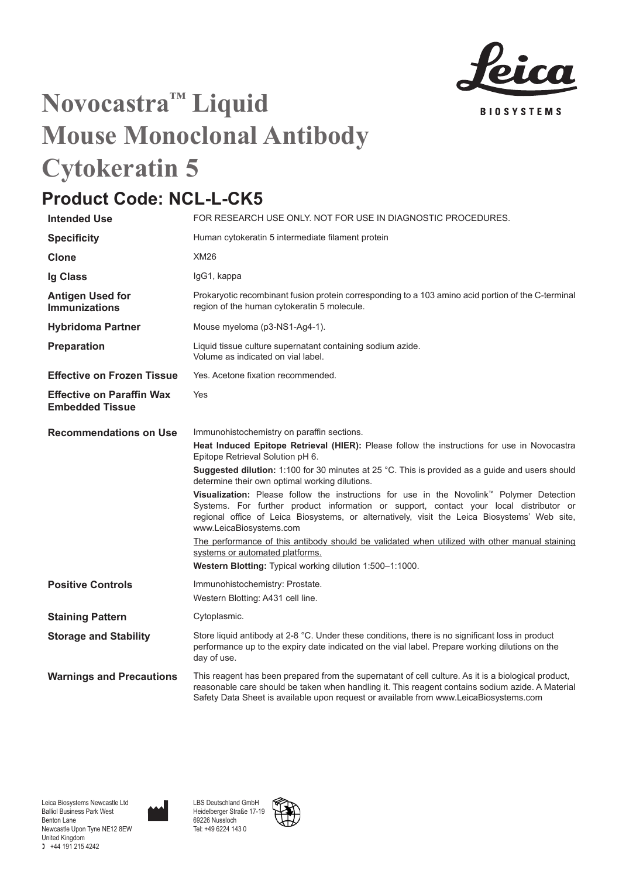

## **Novocastra™ Liquid Mouse Monoclonal Antibody Cytokeratin 5**

## **Product Code: NCL-L-CK5**

| <b>Intended Use</b>                                        | FOR RESEARCH USE ONLY. NOT FOR USE IN DIAGNOSTIC PROCEDURES.                                                                                                                                                                                                                                                                                                                                                                                                                                                                                                                                                                                                                                                                                                                                                                                                    |
|------------------------------------------------------------|-----------------------------------------------------------------------------------------------------------------------------------------------------------------------------------------------------------------------------------------------------------------------------------------------------------------------------------------------------------------------------------------------------------------------------------------------------------------------------------------------------------------------------------------------------------------------------------------------------------------------------------------------------------------------------------------------------------------------------------------------------------------------------------------------------------------------------------------------------------------|
| <b>Specificity</b>                                         | Human cytokeratin 5 intermediate filament protein                                                                                                                                                                                                                                                                                                                                                                                                                                                                                                                                                                                                                                                                                                                                                                                                               |
| Clone                                                      | <b>XM26</b>                                                                                                                                                                                                                                                                                                                                                                                                                                                                                                                                                                                                                                                                                                                                                                                                                                                     |
| <b>Ig Class</b>                                            | IgG1, kappa                                                                                                                                                                                                                                                                                                                                                                                                                                                                                                                                                                                                                                                                                                                                                                                                                                                     |
| <b>Antigen Used for</b><br><b>Immunizations</b>            | Prokaryotic recombinant fusion protein corresponding to a 103 amino acid portion of the C-terminal<br>region of the human cytokeratin 5 molecule.                                                                                                                                                                                                                                                                                                                                                                                                                                                                                                                                                                                                                                                                                                               |
| <b>Hybridoma Partner</b>                                   | Mouse myeloma (p3-NS1-Ag4-1).                                                                                                                                                                                                                                                                                                                                                                                                                                                                                                                                                                                                                                                                                                                                                                                                                                   |
| Preparation                                                | Liquid tissue culture supernatant containing sodium azide.<br>Volume as indicated on vial label.                                                                                                                                                                                                                                                                                                                                                                                                                                                                                                                                                                                                                                                                                                                                                                |
| <b>Effective on Frozen Tissue</b>                          | Yes. Acetone fixation recommended.                                                                                                                                                                                                                                                                                                                                                                                                                                                                                                                                                                                                                                                                                                                                                                                                                              |
| <b>Effective on Paraffin Wax</b><br><b>Embedded Tissue</b> | Yes                                                                                                                                                                                                                                                                                                                                                                                                                                                                                                                                                                                                                                                                                                                                                                                                                                                             |
| <b>Recommendations on Use</b>                              | Immunohistochemistry on paraffin sections.<br>Heat Induced Epitope Retrieval (HIER): Please follow the instructions for use in Novocastra<br>Epitope Retrieval Solution pH 6.<br>Suggested dilution: 1:100 for 30 minutes at 25 °C. This is provided as a quide and users should<br>determine their own optimal working dilutions.<br>Visualization: Please follow the instructions for use in the Novolink <sup>"</sup> Polymer Detection<br>Systems. For further product information or support, contact your local distributor or<br>regional office of Leica Biosystems, or alternatively, visit the Leica Biosystems' Web site,<br>www.LeicaBiosystems.com<br>The performance of this antibody should be validated when utilized with other manual staining<br>systems or automated platforms.<br>Western Blotting: Typical working dilution 1:500-1:1000. |
| <b>Positive Controls</b>                                   | Immunohistochemistry: Prostate.<br>Western Blotting: A431 cell line.                                                                                                                                                                                                                                                                                                                                                                                                                                                                                                                                                                                                                                                                                                                                                                                            |
| <b>Staining Pattern</b>                                    | Cytoplasmic.                                                                                                                                                                                                                                                                                                                                                                                                                                                                                                                                                                                                                                                                                                                                                                                                                                                    |
| <b>Storage and Stability</b>                               | Store liquid antibody at 2-8 °C. Under these conditions, there is no significant loss in product<br>performance up to the expiry date indicated on the vial label. Prepare working dilutions on the<br>day of use.                                                                                                                                                                                                                                                                                                                                                                                                                                                                                                                                                                                                                                              |
| <b>Warnings and Precautions</b>                            | This reagent has been prepared from the supernatant of cell culture. As it is a biological product,<br>reasonable care should be taken when handling it. This reagent contains sodium azide. A Material<br>Safety Data Sheet is available upon request or available from www.LeicaBiosystems.com                                                                                                                                                                                                                                                                                                                                                                                                                                                                                                                                                                |



LBS Deutschland GmbH Heidelberger Straße 17-19 69226 Nussloch Tel: +49 6224 143 0